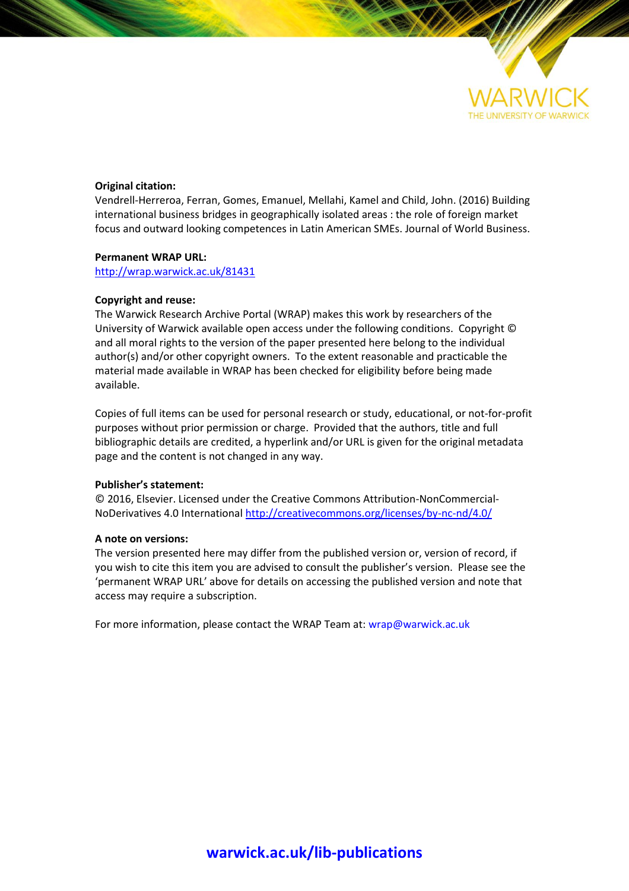

### **Original citation:**

Vendrell-Herreroa, Ferran, Gomes, Emanuel, Mellahi, Kamel and Child, John. (2016) Building international business bridges in geographically isolated areas : the role of foreign market focus and outward looking competences in Latin American SMEs. Journal of World Business.

#### **Permanent WRAP URL:**

<http://wrap.warwick.ac.uk/81431>

#### **Copyright and reuse:**

The Warwick Research Archive Portal (WRAP) makes this work by researchers of the University of Warwick available open access under the following conditions. Copyright © and all moral rights to the version of the paper presented here belong to the individual author(s) and/or other copyright owners. To the extent reasonable and practicable the material made available in WRAP has been checked for eligibility before being made available.

Copies of full items can be used for personal research or study, educational, or not-for-profit purposes without prior permission or charge. Provided that the authors, title and full bibliographic details are credited, a hyperlink and/or URL is given for the original metadata page and the content is not changed in any way.

#### **Publisher's statement:**

© 2016, Elsevier. Licensed under the Creative Commons Attribution-NonCommercial-NoDerivatives 4.0 International<http://creativecommons.org/licenses/by-nc-nd/4.0/>

#### **A note on versions:**

The version presented here may differ from the published version or, version of record, if you wish to cite this item you are advised to consult the publisher's version. Please see the 'permanent WRAP URL' above for details on accessing the published version and note that access may require a subscription.

For more information, please contact the WRAP Team at[: wrap@warwick.ac.uk](mailto:wrap@warwick.ac.uk)